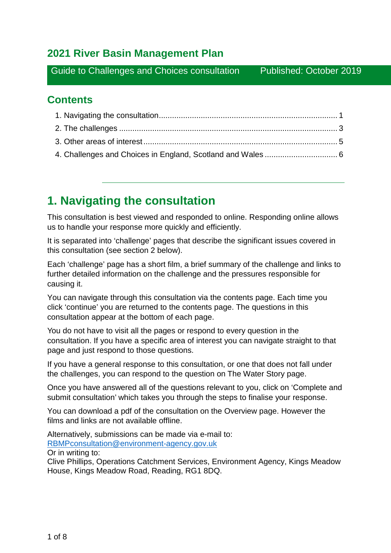## **2021 River Basin Management Plan**

Guide to Challenges and Choices consultation Published: October 2019

## **Contents**

## <span id="page-0-0"></span>**1. Navigating the consultation**

This consultation is best viewed and responded to online. Responding online allows us to handle your response more quickly and efficiently.

It is separated into 'challenge' pages that describe the significant issues covered in this consultation (see section 2 below).

Each 'challenge' page has a short film, a brief summary of the challenge and links to further detailed information on the challenge and the pressures responsible for causing it.

You can navigate through this consultation via the contents page. Each time you click 'continue' you are returned to the contents page. The questions in this consultation appear at the bottom of each page.

You do not have to visit all the pages or respond to every question in the consultation. If you have a specific area of interest you can navigate straight to that page and just respond to those questions.

If you have a general response to this consultation, or one that does not fall under the challenges, you can respond to the question on The Water Story page.

Once you have answered all of the questions relevant to you, click on 'Complete and submit consultation' which takes you through the steps to finalise your response.

You can download a pdf of the consultation on the Overview page. However the films and links are not available offline.

Alternatively, submissions can be made via e-mail to: [RBMPconsultation@environment-agency.gov.uk](mailto:RBMPconsultation@environment-agency.gov.uk) 

Or in writing to:

Clive Phillips, Operations Catchment Services, Environment Agency, Kings Meadow House, Kings Meadow Road, Reading, RG1 8DQ.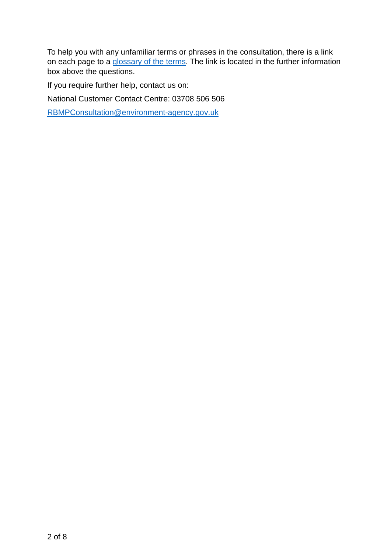To help you with any unfamiliar terms or phrases in the consultation, there is a link on each page to a [glossary of the terms.](http://environment.data.gov.uk/catchment-planning/glossary) The link is located in the further information box above the questions.

If you require further help, contact us on:

National Customer Contact Centre: 03708 506 506

[RBMPConsultation@environment-agency.gov.uk](mailto:RBMPConsultation@environment-agency.gov.uk)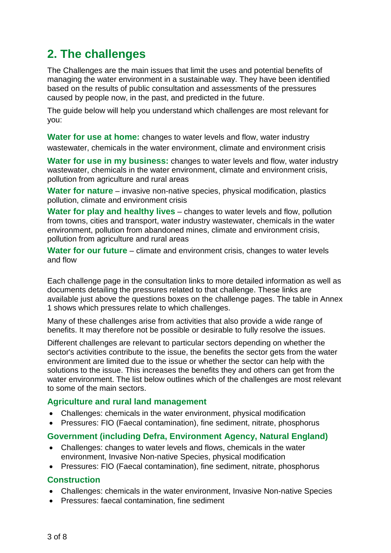# <span id="page-2-0"></span>**2. The challenges**

The Challenges are the main issues that limit the uses and potential benefits of managing the water environment in a sustainable way. They have been identified based on the results of public consultation and assessments of the pressures caused by people now, in the past, and predicted in the future.

The guide below will help you understand which challenges are most relevant for you:

**Water for use at home:** changes to water levels and flow, water industry wastewater, chemicals in the water environment, climate and environment crisis

**Water for use in my business:** changes to water levels and flow, water industry wastewater, chemicals in the water environment, climate and environment crisis, pollution from agriculture and rural areas

**Water for nature** – invasive non-native species, physical modification, plastics pollution, climate and environment crisis

**Water for play and healthy lives** – changes to water levels and flow, pollution from towns, cities and transport, water industry wastewater, chemicals in the water environment, pollution from abandoned mines, climate and environment crisis, pollution from agriculture and rural areas

**Water for our future** – climate and environment crisis, changes to water levels and flow

Each challenge page in the consultation links to more detailed information as well as documents detailing the pressures related to that challenge. These links are available just above the questions boxes on the challenge pages. The table in Annex 1 shows which pressures relate to which challenges.

Many of these challenges arise from activities that also provide a wide range of benefits. It may therefore not be possible or desirable to fully resolve the issues.

Different challenges are relevant to particular sectors depending on whether the sector's activities contribute to the issue, the benefits the sector gets from the water environment are limited due to the issue or whether the sector can help with the solutions to the issue. This increases the benefits they and others can get from the water environment. The list below outlines which of the challenges are most relevant to some of the main sectors.

#### **Agriculture and rural land management**

- Challenges: chemicals in the water environment, physical modification
- Pressures: FIO (Faecal contamination), fine sediment, nitrate, phosphorus

#### **Government (including Defra, Environment Agency, Natural England)**

- Challenges: changes to water levels and flows, chemicals in the water environment, Invasive Non-native Species, physical modification
- Pressures: FIO (Faecal contamination), fine sediment, nitrate, phosphorus

#### **Construction**

- Challenges: chemicals in the water environment, Invasive Non-native Species
- Pressures: faecal contamination, fine sediment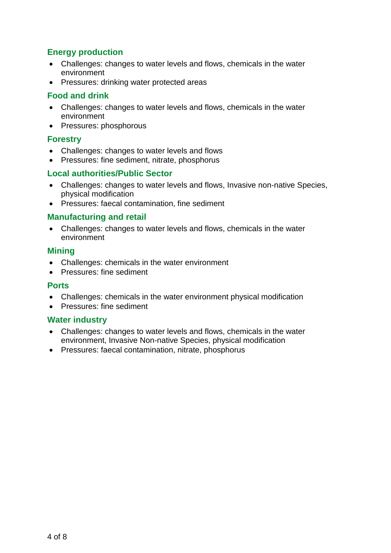## **Energy production**

- Challenges: changes to water levels and flows, chemicals in the water environment
- Pressures: drinking water protected areas

### **Food and drink**

- Challenges: changes to water levels and flows, chemicals in the water environment
- Pressures: phosphorous

#### **Forestry**

- Challenges: changes to water levels and flows
- Pressures: fine sediment, nitrate, phosphorus

#### **Local authorities/Public Sector**

- Challenges: changes to water levels and flows, Invasive non-native Species, physical modification
- Pressures: faecal contamination, fine sediment

#### **Manufacturing and retail**

• Challenges: changes to water levels and flows, chemicals in the water environment

#### **Mining**

- Challenges: chemicals in the water environment
- Pressures: fine sediment

#### **Ports**

- Challenges: chemicals in the water environment physical modification
- Pressures: fine sediment

#### **Water industry**

- Challenges: changes to water levels and flows, chemicals in the water environment, Invasive Non-native Species, physical modification
- Pressures: faecal contamination, nitrate, phosphorus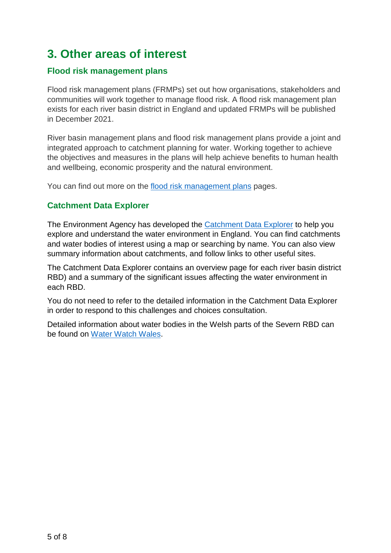# <span id="page-4-0"></span>**3. Other areas of interest**

## **Flood risk management plans**

Flood risk management plans (FRMPs) set out how organisations, stakeholders and communities will work together to manage flood risk. A flood risk management plan exists for each river basin district in England and updated FRMPs will be published in December 2021.

River basin management plans and flood risk management plans provide a joint and integrated approach to catchment planning for water. Working together to achieve the objectives and measures in the plans will help achieve benefits to human health and wellbeing, economic prosperity and the natural environment.

You can find out more on the [flood risk management plans](https://www.gov.uk/guidance/flood-risk-management-plans-frmps-responsibilities) pages.

## **Catchment Data Explorer**

The Environment Agency has developed the [Catchment Data Explorer](http://environment.data.gov.uk/catchment-planning/) to help you explore and understand the water environment in England. You can find catchments and water bodies of interest using a map or searching by name. You can also view summary information about catchments, and follow links to other useful sites.

The Catchment Data Explorer contains an overview page for each river basin district RBD) and a summary of the significant issues affecting the water environment in each RBD.

You do not need to refer to the detailed information in the Catchment Data Explorer in order to respond to this challenges and choices consultation.

<span id="page-4-1"></span>Detailed information about water bodies in the Welsh parts of the Severn RBD can be found on [Water Watch Wales.](https://waterwatchwales.naturalresourceswales.gov.uk/)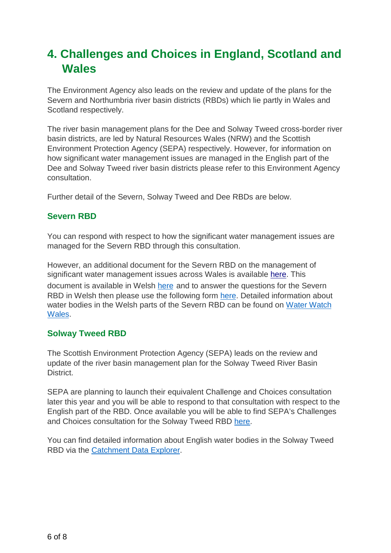# **4. Challenges and Choices in England, Scotland and Wales**

The Environment Agency also leads on the review and update of the plans for the Severn and Northumbria river basin districts (RBDs) which lie partly in Wales and Scotland respectively.

The river basin management plans for the Dee and Solway Tweed cross-border river basin districts, are led by Natural Resources Wales (NRW) and the [Scottish](http://www.sepa.org.uk/)  [Environment Protection Agency](http://www.sepa.org.uk/) (SEPA) respectively. However, for information on how significant water management issues are managed in the English part of the Dee and Solway Tweed river basin districts please refer to this Environment Agency consultation.

Further detail of the Severn, Solway Tweed and Dee RBDs are below.

### **Severn RBD**

You can respond with respect to how the significant water management issues are managed for the Severn RBD through this consultation.

However, an additional document for the Severn RBD on the management of significant water management issues across Wales is available [here.](https://consult.environment-agency.gov.uk/environment-and-business/challenges-and-choices/user_uploads/severn-rbd-document-rbmp-2021-english.pdf) This document is available in Welsh [here](https://consult.environment-agency.gov.uk/environment-and-business/challenges-and-choices/user_uploads/severn-challenges-choices-welsh-language-1.pdf) and to answer the questions for the Severn RBD in Welsh then please use the following form [here.](https://consult.environment-agency.gov.uk/environment-and-business/challenges-and-choices/user_uploads/challenges-and-choices-_proforma.docx) Detailed information about water bodies in the Welsh parts of the Severn RBD can be found on [Water Watch](https://waterwatchwales.naturalresourceswales.gov.uk/en/) [Wales.](https://waterwatchwales.naturalresourceswales.gov.uk/en/)

### **Solway Tweed RBD**

The Scottish Environment Protection Agency (SEPA) leads on the review and update of the river basin management plan for the Solway Tweed River Basin District.

SEPA are planning to launch their equivalent Challenge and Choices consultation later this year and you will be able to respond to that consultation with respect to the English part of the RBD. Once available you will be able to find SEPA's Challenges and Choices consultation for the Solway Tweed RBD [here.](https://consultation.sepa.org.uk/)

You can find detailed information about English water bodies in the Solway Tweed RBD via the [Catchment Data Explorer.](http://environment.data.gov.uk/catchment-planning/)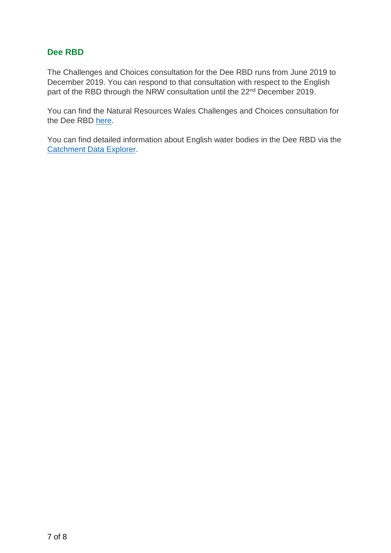### **Dee RBD**

The Challenges and Choices consultation for the Dee RBD runs from June 2019 to December 2019. You can respond to that consultation with respect to the English part of the RBD through the NRW consultation until the 22<sup>nd</sup> December 2019.

You can find the Natural Resources Wales Challenges and Choices consultation for the Dee RBD [here.](https://naturalresources.wales/guidance-and-advice/environmental-topics/consultations/our-own-consultations/challenges-and-choices-consultation-2019/?lang=en)

You can find detailed information about English water bodies in the Dee RBD via the [Catchment Data Explorer.](http://environment.data.gov.uk/catchment-planning/)